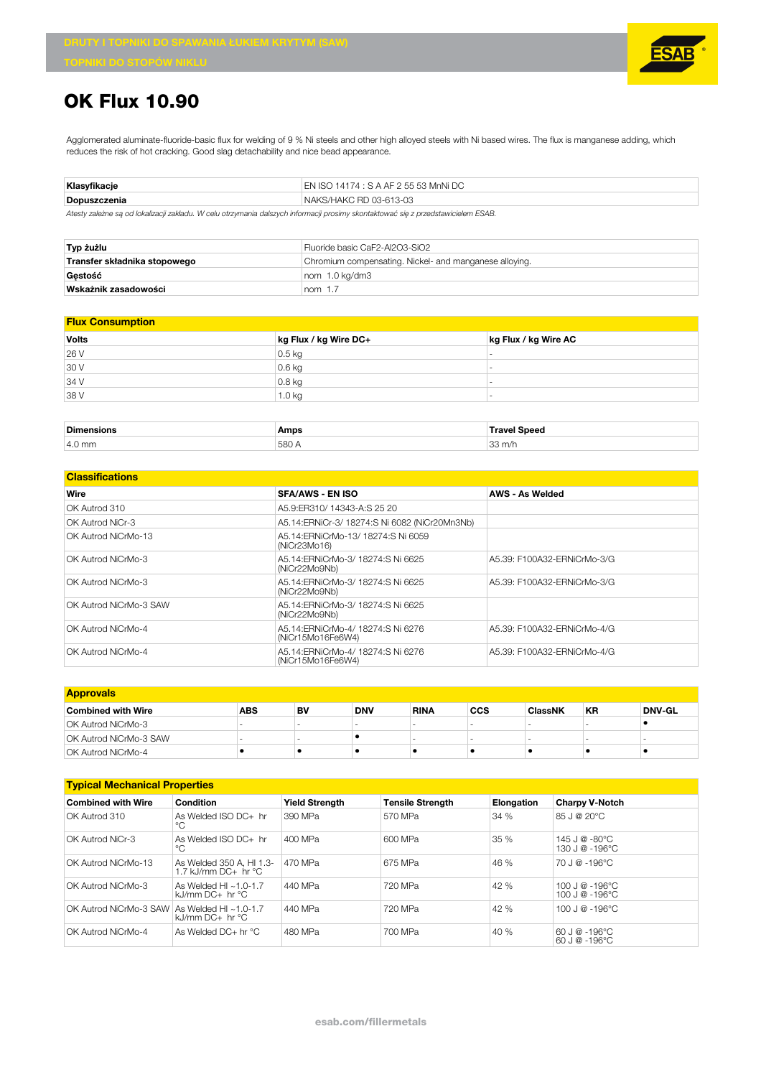

## **OK Flux 10.90**

Agglomerated aluminate-fluoride-basic flux for welding of 9 % Ni steels and other high alloyed steels with Ni based wires. The flux is manganese adding, which reduces the risk of hot cracking. Good slag detachability and nice bead appearance.

| Klasvfikacie | EN ISO 14174 : S A AF 2 55 53 MnNi DC |
|--------------|---------------------------------------|
| Dopuszczenia | NAKS/HAKC RD 03-613-03                |

*Atesty zależne są od lokalizacji zakładu. W celu otrzymania dalszych informacji prosimy skontaktować się z przedstawicielem ESAB.*

| Typ żużlu                    | Fluoride basic CaF2-Al2O3-SiO2                         |  |  |
|------------------------------|--------------------------------------------------------|--|--|
| Transfer składnika stopowego | Chromium compensating. Nickel- and manganese alloying. |  |  |
| Gestość                      | nom 1.0 kg/dm3                                         |  |  |
| Wskażnik zasadowości         | nom $1.7$                                              |  |  |

| <b>Flux Consumption</b> |                       |                      |  |  |
|-------------------------|-----------------------|----------------------|--|--|
| <b>Volts</b>            | kg Flux / kg Wire DC+ | kg Flux / kg Wire AC |  |  |
| 26 V                    | $0.5$ kg              |                      |  |  |
| 30 V                    | $0.6$ kg              | -                    |  |  |
| 34 V                    | $0.8$ kg              |                      |  |  |
| 38 V                    | 1.0 kg                |                      |  |  |
|                         |                       |                      |  |  |

| <b>Dimens</b>    | Amps | т               |
|------------------|------|-----------------|
| $4.0 \text{ mm}$ | 580  | $\cap$<br>3 m/r |

| <b>Classifications</b> |                                                         |                             |  |  |  |
|------------------------|---------------------------------------------------------|-----------------------------|--|--|--|
| Wire                   | <b>SFA/AWS - EN ISO</b>                                 | AWS - As Welded             |  |  |  |
| OK Autrod 310          | A5.9: ER310/14343-A: S 25 20                            |                             |  |  |  |
| OK Autrod NiCr-3       | A5.14:ERNiCr-3/ 18274:S Ni 6082 (NiCr20Mn3Nb)           |                             |  |  |  |
| OK Autrod NiCrMo-13    | A5.14: ERNiCrMo-13/18274: SNi 6059<br>(NiCr23Mo16)      |                             |  |  |  |
| OK Autrod NiCrMo-3     | A5.14: ERNiCrMo-3/ 18274: SNi 6625<br>(NiCr22Mo9Nb)     | A5.39: F100A32-FRNiCrMo-3/G |  |  |  |
| OK Autrod NiCrMo-3     | A5.14: ERNiCrMo-3/18274: SNi 6625<br>(NiCr22Mo9Nb)      | A5.39: F100A32-ERNiCrMo-3/G |  |  |  |
| OK Autrod NiCrMo-3 SAW | A5.14: ERNiCrMo-3/ 18274: SNi 6625<br>(NiCr22Mo9Nb)     |                             |  |  |  |
| OK Autrod NiCrMo-4     | A5.14: ERNiCrMo-4/ 18274: SNi 6276<br>(NiCr15Mo16Fe6W4) | A5.39: F100A32-ERNiCrMo-4/G |  |  |  |
| OK Autrod NiCrMo-4     | A5.14: ERNiCrMo-4/ 18274: SNi 6276<br>(NiCr15Mo16Fe6W4) | A5.39: F100A32-ERNiCrMo-4/G |  |  |  |

| <b>Approvals</b>              |     |    |            |             |            |                |                          |        |
|-------------------------------|-----|----|------------|-------------|------------|----------------|--------------------------|--------|
| <b>Combined with Wire</b>     | ABS | BV | <b>DNV</b> | <b>RINA</b> | <b>CCS</b> | <b>ClassNK</b> | <b>KR</b>                | DNV-GL |
| OK Autrod NiCrMo-3            |     | -  |            |             |            |                | $\overline{\phantom{a}}$ |        |
| <b>OK Autrod NiCrMo-3 SAW</b> |     |    |            |             |            |                |                          |        |
| OK Autrod NiCrMo-4            |     |    |            |             |            |                |                          |        |

| <b>Typical Mechanical Properties</b> |                                                       |                       |                         |            |                                                              |
|--------------------------------------|-------------------------------------------------------|-----------------------|-------------------------|------------|--------------------------------------------------------------|
| <b>Combined with Wire</b>            | Condition                                             | <b>Yield Strength</b> | <b>Tensile Strength</b> | Elongation | <b>Charpy V-Notch</b>                                        |
| OK Autrod 310                        | As Welded ISO $DC +$ hr<br>°C                         | 390 MPa               | 570 MPa                 | 34%        | 85 J @ 20°C                                                  |
| OK Autrod NiCr-3                     | As Welded $ISO$ $DC+$ hr<br>°C                        | 400 MPa               | 600 MPa                 | 35 %       | $145 \text{ J} \ @ \ -80^{\circ} \text{C}$<br>130 J @ -196°C |
| OK Autrod NiCrMo-13                  | As Welded 350 A, HI 1.3-<br>1.7 kJ/mm DC+ hr °C       | 470 MPa               | 675 MPa                 | 46 %       | $70$ J @ -196°C                                              |
| OK Autrod NiCrMo-3                   | As Welded HI $\approx$ 1.0-1.7<br>kJ/mm $DC+$ hr $°C$ | 440 MPa               | 720 MPa                 | 42 %       | $100 \text{ J} \ @ 0.196^{\circ} \text{C}$<br>100 J @ -196°C |
| OK Autrod NiCrMo-3 SAW               | As Welded HI $\sim$ 1.0-1.7<br>$kJ/mm$ DC+ hr °C      | 440 MPa               | 720 MPa                 | 42 %       | $100 \text{ J} \ @ 0.196^{\circ} \text{C}$                   |
| OK Autrod NiCrMo-4                   | As Welded $DC+hr$ °C                                  | 480 MPa               | 700 MPa                 | 40 %       | 60 J @ -196°C<br>60 J @ -196°C                               |